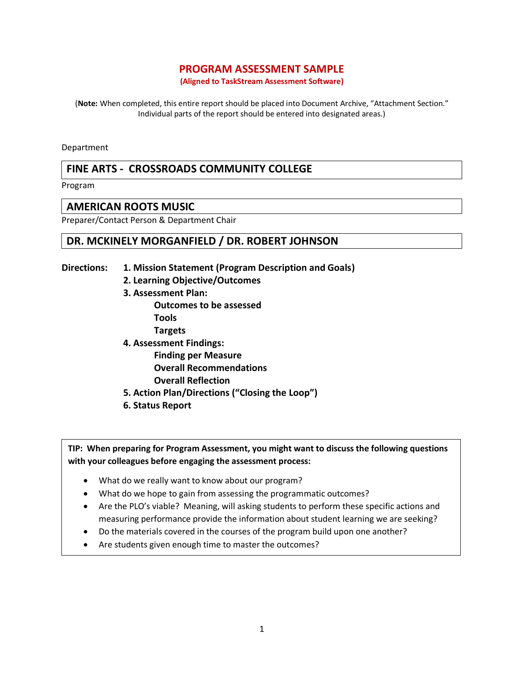## **PROGRAM ASSESSMENT SAMPLE**

**(Aligned to TaskStream Assessment Software)**

(**Note:** When completed, this entire report should be placed into Document Archive, "Attachment Section." Individual parts of the report should be entered into designated areas.)

Department

# **FINE ARTS - CROSSROADS COMMUNITY COLLEGE**

Program

## **AMERICAN ROOTS MUSIC**

Preparer/Contact Person & Department Chair

## **DR. MCKINELY MORGANFIELD / DR. ROBERT JOHNSON**

- **Directions: 1. Mission Statement (Program Description and Goals)** 
	- **2. Learning Objective/Outcomes**
	- **3. Assessment Plan: Outcomes to be assessed Tools Targets**
	- **4. Assessment Findings: Finding per Measure Overall Recommendations Overall Reflection**
	- **5. Action Plan/Directions ("Closing the Loop")**
	- **6. Status Report**

**TIP: When preparing for Program Assessment, you might want to discuss the following questions with your colleagues before engaging the assessment process:**

- What do we really want to know about our program?
- What do we hope to gain from assessing the programmatic outcomes?
- Are the PLO's viable? Meaning, will asking students to perform these specific actions and measuring performance provide the information about student learning we are seeking?
- Do the materials covered in the courses of the program build upon one another?
- Are students given enough time to master the outcomes?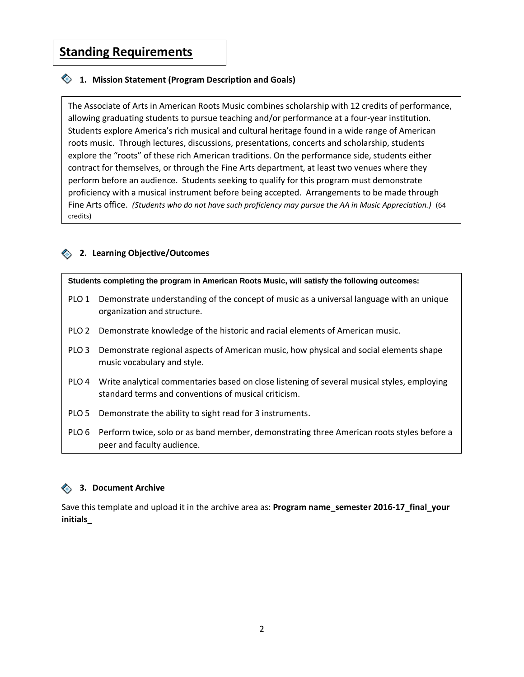# **Standing Requirements**

## **1. Mission Statement (Program Description and Goals)**

The Associate of Arts in American Roots Music combines scholarship with 12 credits of performance, allowing graduating students to pursue teaching and/or performance at a four-year institution. Students explore America's rich musical and cultural heritage found in a wide range of American roots music. Through lectures, discussions, presentations, concerts and scholarship, students explore the "roots" of these rich American traditions. On the performance side, students either contract for themselves, or through the Fine Arts department, at least two venues where they perform before an audience. Students seeking to qualify for this program must demonstrate proficiency with a musical instrument before being accepted. Arrangements to be made through Fine Arts office. *(Students who do not have such proficiency may pursue the AA in Music Appreciation.)* (64 credits)

## **2. Learning Objective/Outcomes**

**Students completing the program in American Roots Music, will satisfy the following outcomes:** 

- PLO 1 Demonstrate understanding of the concept of music as a universal language with an unique organization and structure.
- PLO 2 Demonstrate knowledge of the historic and racial elements of American music.
- PLO 3 Demonstrate regional aspects of American music, how physical and social elements shape music vocabulary and style.
- PLO 4 Write analytical commentaries based on close listening of several musical styles, employing standard terms and conventions of musical criticism.
- PLO 5 Demonstrate the ability to sight read for 3 instruments.
- PLO 6 Perform twice, solo or as band member, demonstrating three American roots styles before a peer and faculty audience.

### **3. Document Archive**

Save this template and upload it in the archive area as: **Program name\_semester 2016-17\_final\_your initials\_**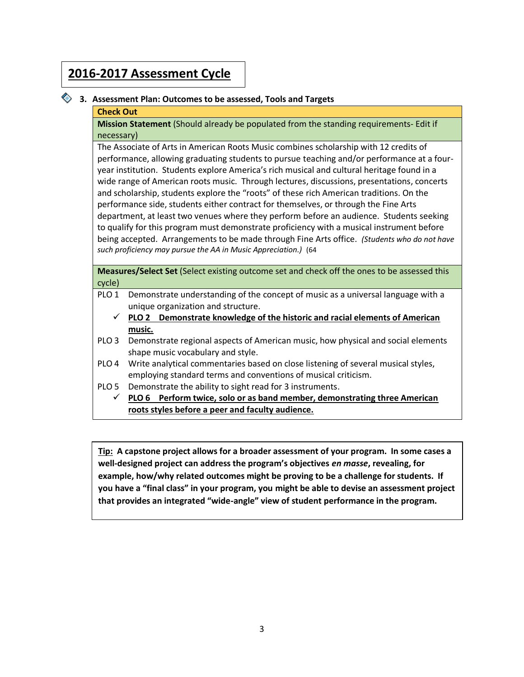# **2016-2017 Assessment Cycle**

## **3. Assessment Plan: Outcomes to be assessed, Tools and Targets**

#### **Check Out**

**Mission Statement** (Should already be populated from the standing requirements- Edit if necessary)

The Associate of Arts in American Roots Music combines scholarship with 12 credits of performance, allowing graduating students to pursue teaching and/or performance at a fouryear institution. Students explore America's rich musical and cultural heritage found in a wide range of American roots music. Through lectures, discussions, presentations, concerts and scholarship, students explore the "roots" of these rich American traditions. On the performance side, students either contract for themselves, or through the Fine Arts department, at least two venues where they perform before an audience. Students seeking to qualify for this program must demonstrate proficiency with a musical instrument before being accepted. Arrangements to be made through Fine Arts office. *(Students who do not have such proficiency may pursue the AA in Music Appreciation.)* (64

**Measures/Select Set** (Select existing outcome set and check off the ones to be assessed this cycle)

- PLO 1 Demonstrate understanding of the concept of music as a universal language with a unique organization and structure.
	- **PLO 2 Demonstrate knowledge of the historic and racial elements of American music.**
- PLO 3 Demonstrate regional aspects of American music, how physical and social elements shape music vocabulary and style.
- PLO 4 Write analytical commentaries based on close listening of several musical styles, employing standard terms and conventions of musical criticism.
- PLO 5 Demonstrate the ability to sight read for 3 instruments.
	- **PLO 6 Perform twice, solo or as band member, demonstrating three American roots styles before a peer and faculty audience.**

**Tip: A capstone project allows for a broader assessment of your program. In some cases a well-designed project can address the program's objectives** *en masse***, revealing, for example, how/why related outcomes might be proving to be a challenge for students. If you have a "final class" in your program, you might be able to devise an assessment project that provides an integrated "wide-angle" view of student performance in the program.**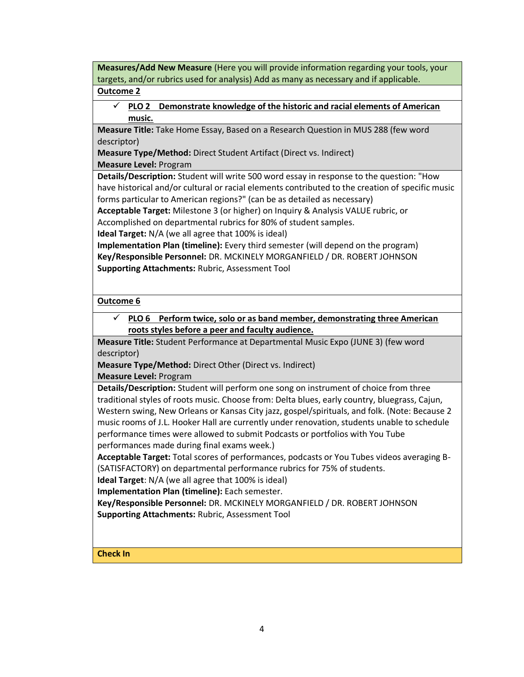**Measures/Add New Measure** (Here you will provide information regarding your tools, your targets, and/or rubrics used for analysis) Add as many as necessary and if applicable.

## **Outcome 2**

 **PLO 2 Demonstrate knowledge of the historic and racial elements of American music.**

**Measure Title:** Take Home Essay, Based on a Research Question in MUS 288 (few word descriptor)

**Measure Type/Method:** Direct Student Artifact (Direct vs. Indirect) **Measure Level:** Program

**Details/Description:** Student will write 500 word essay in response to the question: "How have historical and/or cultural or racial elements contributed to the creation of specific music forms particular to American regions?" (can be as detailed as necessary)

**Acceptable Target:** Milestone 3 (or higher) on Inquiry & Analysis VALUE rubric, or Accomplished on departmental rubrics for 80% of student samples.

**Ideal Target:** N/A (we all agree that 100% is ideal)

**Implementation Plan (timeline):** Every third semester (will depend on the program) **Key/Responsible Personnel:** DR. MCKINELY MORGANFIELD / DR. ROBERT JOHNSON **Supporting Attachments:** Rubric, Assessment Tool

## **Outcome 6**

 **PLO 6 Perform twice, solo or as band member, demonstrating three American roots styles before a peer and faculty audience.**

**Measure Title:** Student Performance at Departmental Music Expo (JUNE 3) (few word descriptor)

**Measure Type/Method:** Direct Other (Direct vs. Indirect) **Measure Level:** Program

**Details/Description:** Student will perform one song on instrument of choice from three traditional styles of roots music. Choose from: Delta blues, early country, bluegrass, Cajun, Western swing, New Orleans or Kansas City jazz, gospel/spirituals, and folk. (Note: Because 2 music rooms of J.L. Hooker Hall are currently under renovation, students unable to schedule performance times were allowed to submit Podcasts or portfolios with You Tube performances made during final exams week.)

**Acceptable Target:** Total scores of performances, podcasts or You Tubes videos averaging B- (SATISFACTORY) on departmental performance rubrics for 75% of students.

**Ideal Target**: N/A (we all agree that 100% is ideal)

**Implementation Plan (timeline):** Each semester.

**Key/Responsible Personnel:** DR. MCKINELY MORGANFIELD / DR. ROBERT JOHNSON **Supporting Attachments:** Rubric, Assessment Tool

# **Check In**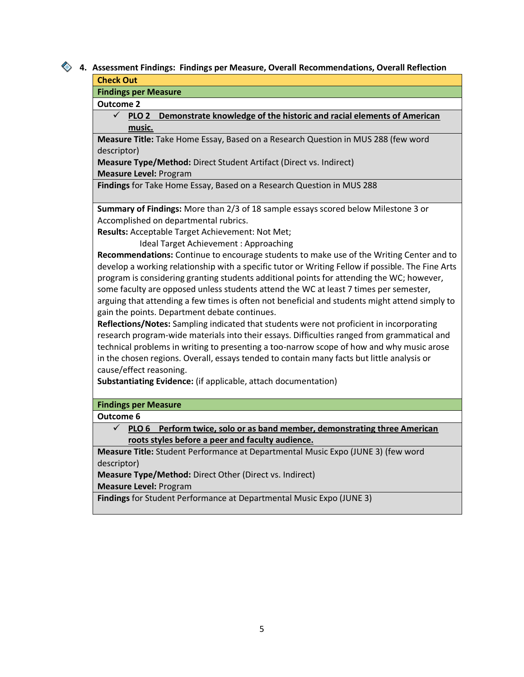# **4. Assessment Findings: Findings per Measure, Overall Recommendations, Overall Reflection**

#### **Check Out**

**Findings per Measure**

**Outcome 2**

## **PLO 2 Demonstrate knowledge of the historic and racial elements of American music.**

**Measure Title:** Take Home Essay, Based on a Research Question in MUS 288 (few word descriptor)

**Measure Type/Method:** Direct Student Artifact (Direct vs. Indirect)

**Measure Level:** Program

**Findings** for Take Home Essay, Based on a Research Question in MUS 288

**Summary of Findings:** More than 2/3 of 18 sample essays scored below Milestone 3 or Accomplished on departmental rubrics.

**Results:** Acceptable Target Achievement: Not Met;

Ideal Target Achievement : Approaching

**Recommendations:** Continue to encourage students to make use of the Writing Center and to develop a working relationship with a specific tutor or Writing Fellow if possible. The Fine Arts program is considering granting students additional points for attending the WC; however, some faculty are opposed unless students attend the WC at least 7 times per semester, arguing that attending a few times is often not beneficial and students might attend simply to gain the points. Department debate continues.

**Reflections/Notes:** Sampling indicated that students were not proficient in incorporating research program-wide materials into their essays. Difficulties ranged from grammatical and technical problems in writing to presenting a too-narrow scope of how and why music arose in the chosen regions. Overall, essays tended to contain many facts but little analysis or cause/effect reasoning.

**Substantiating Evidence:** (if applicable, attach documentation)

## **Findings per Measure**

**Outcome 6**

 **PLO 6 Perform twice, solo or as band member, demonstrating three American roots styles before a peer and faculty audience.**

**Measure Title:** Student Performance at Departmental Music Expo (JUNE 3) (few word descriptor)

**Measure Type/Method:** Direct Other (Direct vs. Indirect)

**Measure Level:** Program

**Findings** for Student Performance at Departmental Music Expo (JUNE 3)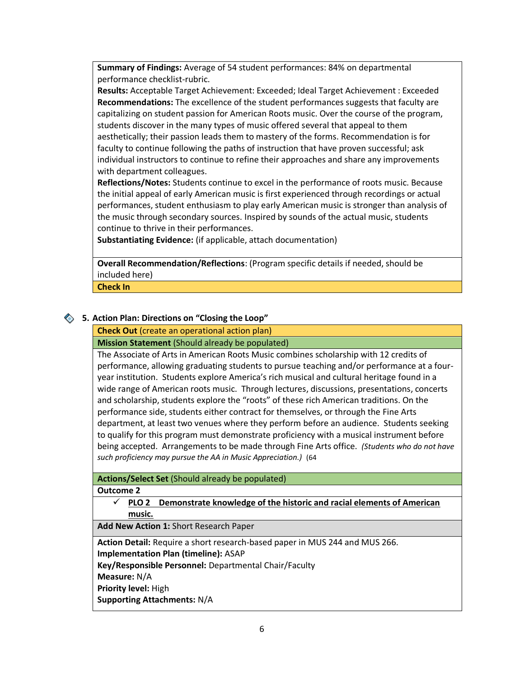**Summary of Findings:** Average of 54 student performances: 84% on departmental performance checklist-rubric.

**Results:** Acceptable Target Achievement: Exceeded; Ideal Target Achievement : Exceeded **Recommendations:** The excellence of the student performances suggests that faculty are capitalizing on student passion for American Roots music. Over the course of the program, students discover in the many types of music offered several that appeal to them aesthetically; their passion leads them to mastery of the forms. Recommendation is for faculty to continue following the paths of instruction that have proven successful; ask individual instructors to continue to refine their approaches and share any improvements with department colleagues.

**Reflections/Notes:** Students continue to excel in the performance of roots music. Because the initial appeal of early American music is first experienced through recordings or actual performances, student enthusiasm to play early American music is stronger than analysis of the music through secondary sources. Inspired by sounds of the actual music, students continue to thrive in their performances.

**Substantiating Evidence:** (if applicable, attach documentation)

**Overall Recommendation/Reflections**: (Program specific details if needed, should be included here)

**Check In** 

## **5. Action Plan: Directions on "Closing the Loop"**

**Check Out** (create an operational action plan)

**Mission Statement** (Should already be populated)

The Associate of Arts in American Roots Music combines scholarship with 12 credits of performance, allowing graduating students to pursue teaching and/or performance at a fouryear institution. Students explore America's rich musical and cultural heritage found in a wide range of American roots music. Through lectures, discussions, presentations, concerts and scholarship, students explore the "roots" of these rich American traditions. On the performance side, students either contract for themselves, or through the Fine Arts department, at least two venues where they perform before an audience. Students seeking to qualify for this program must demonstrate proficiency with a musical instrument before being accepted. Arrangements to be made through Fine Arts office. *(Students who do not have such proficiency may pursue the AA in Music Appreciation.)* (64

## **Actions/Select Set** (Should already be populated)

#### **Outcome 2**

 **PLO 2 Demonstrate knowledge of the historic and racial elements of American music.**

**Add New Action 1:** Short Research Paper

**Action Detail:** Require a short research-based paper in MUS 244 and MUS 266.

**Implementation Plan (timeline):** ASAP

**Key/Responsible Personnel:** Departmental Chair/Faculty

**Measure:** N/A

**Priority level:** High

**Supporting Attachments:** N/A